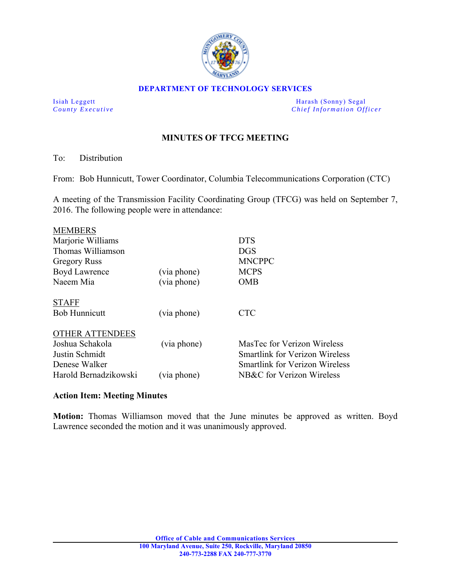

## **DEPARTMENT OF TECHNOLOGY SERVICES**

Isiah Leggett Harash (Sonny) Segal *County Executive* **County**  $\overline{C}$  *Chief Information Officer* 

## **MINUTES OF TFCG MEETING**

To: Distribution

From: Bob Hunnicutt, Tower Coordinator, Columbia Telecommunications Corporation (CTC)

A meeting of the Transmission Facility Coordinating Group (TFCG) was held on September 7, 2016. The following people were in attendance:

|             | <b>DTS</b>                            |
|-------------|---------------------------------------|
|             | DGS                                   |
|             | <b>MNCPPC</b>                         |
| (via phone) | <b>MCPS</b>                           |
| (via phone) | <b>OMB</b>                            |
|             |                                       |
| (via phone) | <b>CTC</b>                            |
|             |                                       |
| (via phone) | MasTec for Verizon Wireless           |
|             | <b>Smartlink for Verizon Wireless</b> |
|             | <b>Smartlink for Verizon Wireless</b> |
| (via phone) | NB&C for Verizon Wireless             |
|             |                                       |

## **Action Item: Meeting Minutes**

**Motion:** Thomas Williamson moved that the June minutes be approved as written. Boyd Lawrence seconded the motion and it was unanimously approved.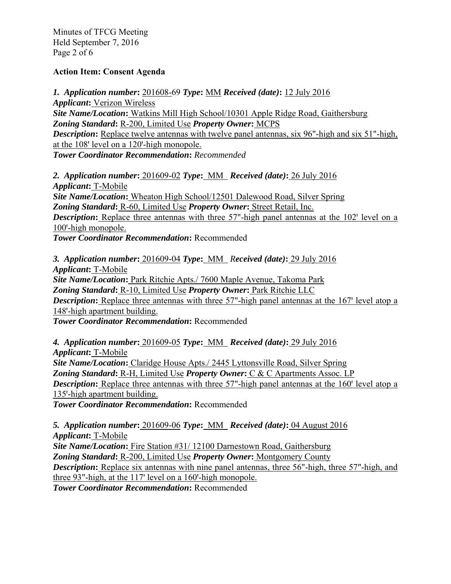Minutes of TFCG Meeting Held September 7, 2016 Page 2 of 6

## **Action Item: Consent Agenda**

*1. Application number***:** 201608-69 *Type***:** MM *Received (date)***:** 12 July 2016 *Applicant***:** Verizon Wireless *Site Name/Location***:** Watkins Mill High School/10301 Apple Ridge Road, Gaithersburg *Zoning Standard***:** R-200, Limited Use *Property Owner***:** MCPS *Description*: Replace twelve antennas with twelve panel antennas, six 96"-high and six 51"-high, at the 108' level on a 120'-high monopole. *Tower Coordinator Recommendation***:** *Recommended* 

*2. Application number***:** 201609-02 *Type***:** MM *Received (date)***:** 26 July 2016 *Applicant***:** T-Mobile *Site Name/Location***:** Wheaton High School/12501 Dalewood Road, Silver Spring *Zoning Standard***:** R-60, Limited Use *Property Owner***:** Street Retail, Inc. **Description:** Replace three antennas with three 57"-high panel antennas at the 102' level on a 100'-high monopole. *Tower Coordinator Recommendation***:** Recommended

*3. Application number***:** 201609-04 *Type***:** MM *Received (date)***:** 29 July 2016 *Applicant***:** T-Mobile *Site Name/Location***:** Park Ritchie Apts./ 7600 Maple Avenue, Takoma Park *Zoning Standard***:** R-10, Limited Use *Property Owner***:** Park Ritchie LLC *Description*: Replace three antennas with three 57"-high panel antennas at the 167' level atop a 148'-high apartment building. *Tower Coordinator Recommendation***:** Recommended

*4. Application number***:** 201609-05 *Type***:** MM *Received (date)***:** 29 July 2016

*Applicant***:** T-Mobile *Site Name/Location***:** Claridge House Apts./ 2445 Lyttonsville Road, Silver Spring *Zoning Standard***:** R-H, Limited Use *Property Owner***:** C & C Apartments Assoc. LP *Description*: Replace three antennas with three 57"-high panel antennas at the 160' level atop a 135'-high apartment building.

*Tower Coordinator Recommendation***:** Recommended

*5. Application number***:** 201609-06 *Type***:** MM *Received (date)***:** 04 August 2016 *Applicant***:** T-Mobile

*Site Name/Location***:** Fire Station #31/ 12100 Darnestown Road, Gaithersburg *Zoning Standard***:** R-200, Limited Use *Property Owner***:** Montgomery County *Description*: Replace six antennas with nine panel antennas, three 56"-high, three 57"-high, and three 93"-high, at the  $117$ ' level on a 160'-high monopole.

*Tower Coordinator Recommendation***:** Recommended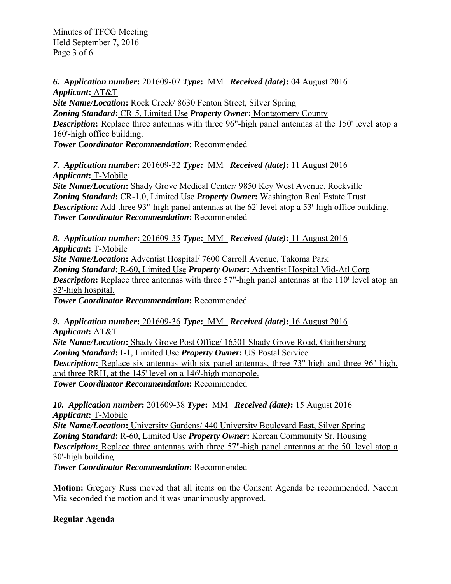Minutes of TFCG Meeting Held September 7, 2016 Page 3 of 6

*6. Application number***:** 201609-07 *Type***:** MM *Received (date)***:** 04 August 2016 *Applicant***:** AT&T

*Site Name/Location***:** Rock Creek/ 8630 Fenton Street, Silver Spring *Zoning Standard***:** CR-5, Limited Use *Property Owner***:** Montgomery County *Description*: Replace three antennas with three 96"-high panel antennas at the 150' level atop a 160'-high office building. *Tower Coordinator Recommendation***:** Recommended

*7. Application number***:** 201609-32 *Type***:** MM *Received (date)***:** 11 August 2016 *Applicant***:** T-Mobile *Site Name/Location***:** Shady Grove Medical Center/ 9850 Key West Avenue, Rockville *Zoning Standard***:** CR-1.0, Limited Use *Property Owner***:** Washington Real Estate Trust **Description:** Add three 93"-high panel antennas at the 62' level atop a 53'-high office building. *Tower Coordinator Recommendation***:** Recommended

*8. Application number***:** 201609-35 *Type***:** MM *Received (date)***:** 11 August 2016 *Applicant***:** T-Mobile *Site Name/Location***:** Adventist Hospital/ 7600 Carroll Avenue, Takoma Park *Zoning Standard***:** R-60, Limited Use *Property Owner***:** Adventist Hospital Mid-Atl Corp *Description*: Replace three antennas with three 57"-high panel antennas at the 110' level atop an 82'-high hospital. *Tower Coordinator Recommendation***:** Recommended

*9. Application number***:** 201609-36 *Type***:** MM *Received (date)***:** 16 August 2016 *Applicant***:** AT&T *Site Name/Location***:** Shady Grove Post Office/ 16501 Shady Grove Road, Gaithersburg *Zoning Standard***:** I-1, Limited Use *Property Owner***:** US Postal Service **Description:** Replace six antennas with six panel antennas, three 73"-high and three 96"-high, and three RRH, at the 145' level on a 146'-high monopole. *Tower Coordinator Recommendation***:** Recommended

*10. Application number***:** 201609-38 *Type***:** MM *Received (date)***:** 15 August 2016 *Applicant***:** T-Mobile *Site Name/Location***:** University Gardens/ 440 University Boulevard East, Silver Spring *Zoning Standard***:** R-60, Limited Use *Property Owner***:** Korean Community Sr. Housing *Description*: Replace three antennas with three 57"-high panel antennas at the 50' level atop a 30'-high building.

*Tower Coordinator Recommendation***:** Recommended

**Motion:** Gregory Russ moved that all items on the Consent Agenda be recommended. Naeem Mia seconded the motion and it was unanimously approved.

**Regular Agenda**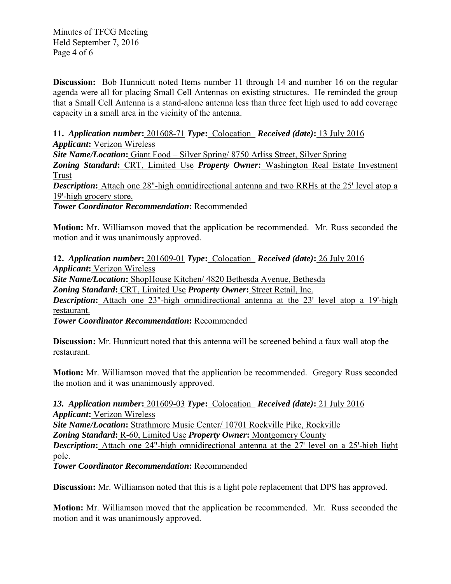Minutes of TFCG Meeting Held September 7, 2016 Page 4 of 6

**Discussion:** Bob Hunnicutt noted Items number 11 through 14 and number 16 on the regular agenda were all for placing Small Cell Antennas on existing structures. He reminded the group that a Small Cell Antenna is a stand-alone antenna less than three feet high used to add coverage capacity in a small area in the vicinity of the antenna.

**11.** *Application number***:** 201608-71 *Type***:** Colocation *Received (date)***:** 13 July 2016 *Applicant***:** Verizon Wireless

*Site Name/Location***:** Giant Food – Silver Spring/ 8750 Arliss Street, Silver Spring

*Zoning Standard***:** CRT, Limited Use *Property Owner***:** Washington Real Estate Investment Trust

**Description:** Attach one 28"-high omnidirectional antenna and two RRHs at the 25' level atop a 19'-high grocery store.

*Tower Coordinator Recommendation***:** Recommended

**Motion:** Mr. Williamson moved that the application be recommended. Mr. Russ seconded the motion and it was unanimously approved.

**12.** *Application number***:** 201609-01 *Type***:** Colocation *Received (date)***:** 26 July 2016 *Applicant***:** Verizon Wireless *Site Name/Location***:** ShopHouse Kitchen/ 4820 Bethesda Avenue, Bethesda *Zoning Standard***:** CRT, Limited Use *Property Owner***:** Street Retail, Inc. **Description:** Attach one 23"-high omnidirectional antenna at the 23' level atop a 19'-high restaurant.

*Tower Coordinator Recommendation***:** Recommended

**Discussion:** Mr. Hunnicutt noted that this antenna will be screened behind a faux wall atop the restaurant.

**Motion:** Mr. Williamson moved that the application be recommended. Gregory Russ seconded the motion and it was unanimously approved.

*13. Application number***:** 201609-03 *Type***:** Colocation *Received (date)***:** 21 July 2016 *Applicant***:** Verizon Wireless *Site Name/Location***:** Strathmore Music Center/ 10701 Rockville Pike, Rockville *Zoning Standard***:** R-60, Limited Use *Property Owner***:** Montgomery County **Description:** Attach one 24"-high omnidirectional antenna at the 27' level on a 25'-high light pole.

*Tower Coordinator Recommendation***:** Recommended

**Discussion:** Mr. Williamson noted that this is a light pole replacement that DPS has approved.

**Motion:** Mr. Williamson moved that the application be recommended. Mr. Russ seconded the motion and it was unanimously approved.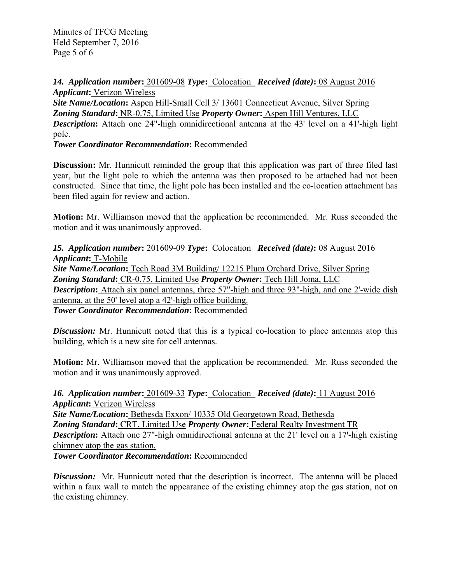Minutes of TFCG Meeting Held September 7, 2016 Page 5 of 6

*14. Application number***:** 201609-08 *Type***:** Colocation *Received (date)***:** 08 August 2016 *Applicant***:** Verizon Wireless

*Site Name/Location***:** Aspen Hill-Small Cell 3/ 13601 Connecticut Avenue, Silver Spring *Zoning Standard***:** NR-0.75, Limited Use *Property Owner***:** Aspen Hill Ventures, LLC **Description:** Attach one 24"-high omnidirectional antenna at the 43' level on a 41'-high light pole.

*Tower Coordinator Recommendation***:** Recommended

**Discussion:** Mr. Hunnicutt reminded the group that this application was part of three filed last year, but the light pole to which the antenna was then proposed to be attached had not been constructed. Since that time, the light pole has been installed and the co-location attachment has been filed again for review and action.

**Motion:** Mr. Williamson moved that the application be recommended. Mr. Russ seconded the motion and it was unanimously approved.

*15. Application number***:** 201609-09 *Type***:** Colocation *Received (date)***:** 08 August 2016 *Applicant***:** T-Mobile *Site Name/Location***:** Tech Road 3M Building/ 12215 Plum Orchard Drive, Silver Spring *Zoning Standard***:** CR-0.75, Limited Use *Property Owner***:** Tech Hill Joma, LLC **Description:** Attach six panel antennas, three 57"-high and three 93"-high, and one 2'-wide dish antenna, at the 50' level atop a 42'-high office building. *Tower Coordinator Recommendation***:** Recommended

**Discussion:** Mr. Hunnicutt noted that this is a typical co-location to place antennas atop this building, which is a new site for cell antennas.

**Motion:** Mr. Williamson moved that the application be recommended. Mr. Russ seconded the motion and it was unanimously approved.

*16. Application number***:** 201609-33 *Type***:** Colocation *Received (date)***:** 11 August 2016 *Applicant***:** Verizon Wireless *Site Name/Location***:** Bethesda Exxon/ 10335 Old Georgetown Road, Bethesda *Zoning Standard***:** CRT, Limited Use *Property Owner***:** Federal Realty Investment TR *Description*: Attach one 27"-high omnidirectional antenna at the 21' level on a 17'-high existing chimney atop the gas station. *Tower Coordinator Recommendation***:** Recommended

*Discussion:* Mr. Hunnicutt noted that the description is incorrect. The antenna will be placed within a faux wall to match the appearance of the existing chimney atop the gas station, not on the existing chimney.